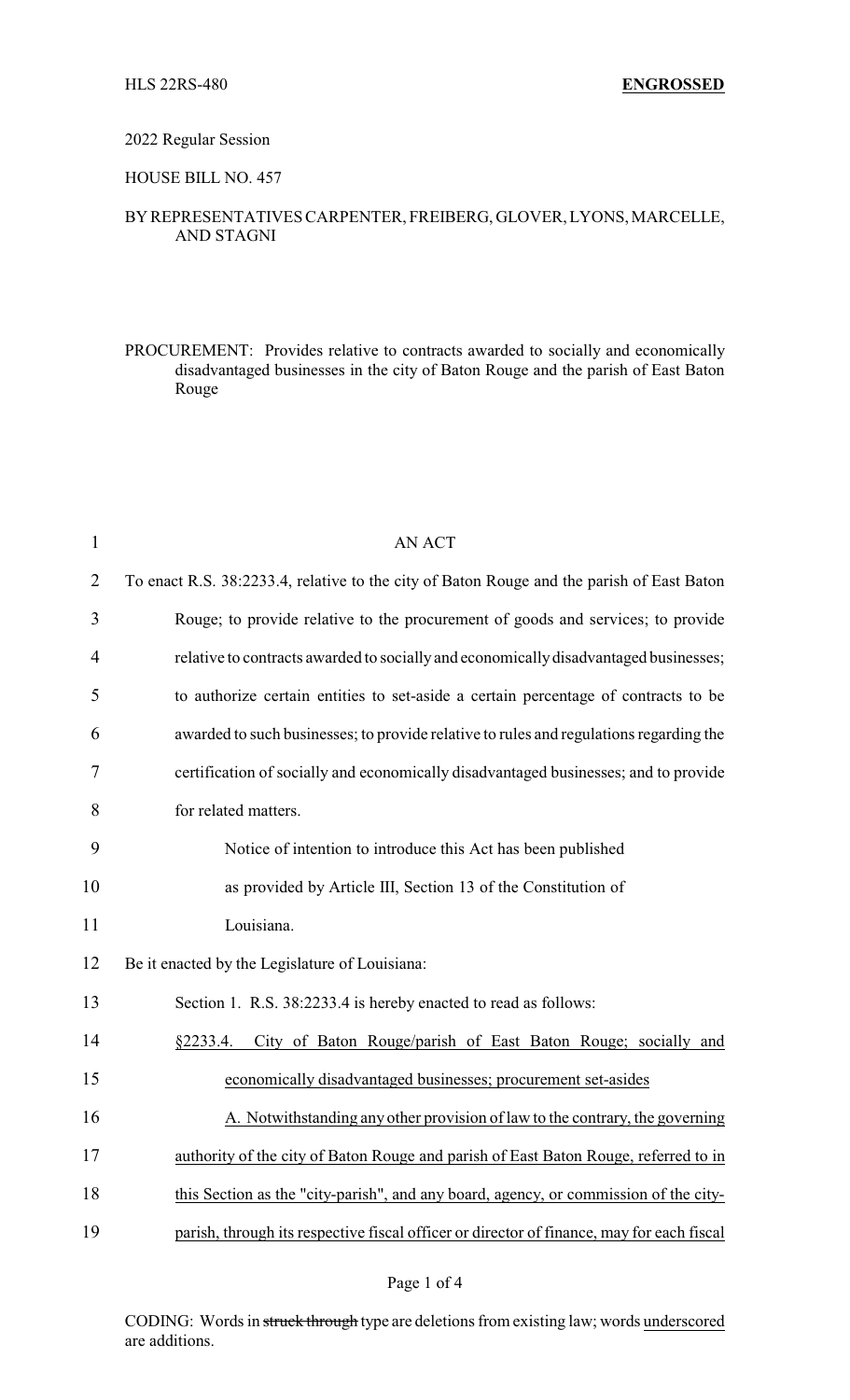#### 2022 Regular Session

## HOUSE BILL NO. 457

## BYREPRESENTATIVES CARPENTER, FREIBERG, GLOVER, LYONS, MARCELLE, AND STAGNI

PROCUREMENT: Provides relative to contracts awarded to socially and economically disadvantaged businesses in the city of Baton Rouge and the parish of East Baton Rouge

| $\mathbf{1}$   | <b>AN ACT</b>                                                                             |  |  |
|----------------|-------------------------------------------------------------------------------------------|--|--|
| $\overline{2}$ | To enact R.S. 38:2233.4, relative to the city of Baton Rouge and the parish of East Baton |  |  |
| 3              | Rouge; to provide relative to the procurement of goods and services; to provide           |  |  |
| $\overline{4}$ | relative to contracts awarded to socially and economically disadvantaged businesses;      |  |  |
| 5              | to authorize certain entities to set-aside a certain percentage of contracts to be        |  |  |
| 6              | awarded to such businesses; to provide relative to rules and regulations regarding the    |  |  |
| 7              | certification of socially and economically disadvantaged businesses; and to provide       |  |  |
| 8              | for related matters.                                                                      |  |  |
| 9              | Notice of intention to introduce this Act has been published                              |  |  |
| 10             | as provided by Article III, Section 13 of the Constitution of                             |  |  |
| 11             | Louisiana.                                                                                |  |  |
| 12             | Be it enacted by the Legislature of Louisiana:                                            |  |  |
| 13             | Section 1. R.S. 38:2233.4 is hereby enacted to read as follows:                           |  |  |
| 14             | City of Baton Rouge/parish of East Baton Rouge; socially and<br>§2233.4.                  |  |  |
| 15             | economically disadvantaged businesses; procurement set-asides                             |  |  |
| 16             | A. Notwithstanding any other provision of law to the contrary, the governing              |  |  |
| 17             | authority of the city of Baton Rouge and parish of East Baton Rouge, referred to in       |  |  |
| 18             | this Section as the "city-parish", and any board, agency, or commission of the city-      |  |  |
| 19             | parish, through its respective fiscal officer or director of finance, may for each fiscal |  |  |

#### Page 1 of 4

CODING: Words in struck through type are deletions from existing law; words underscored are additions.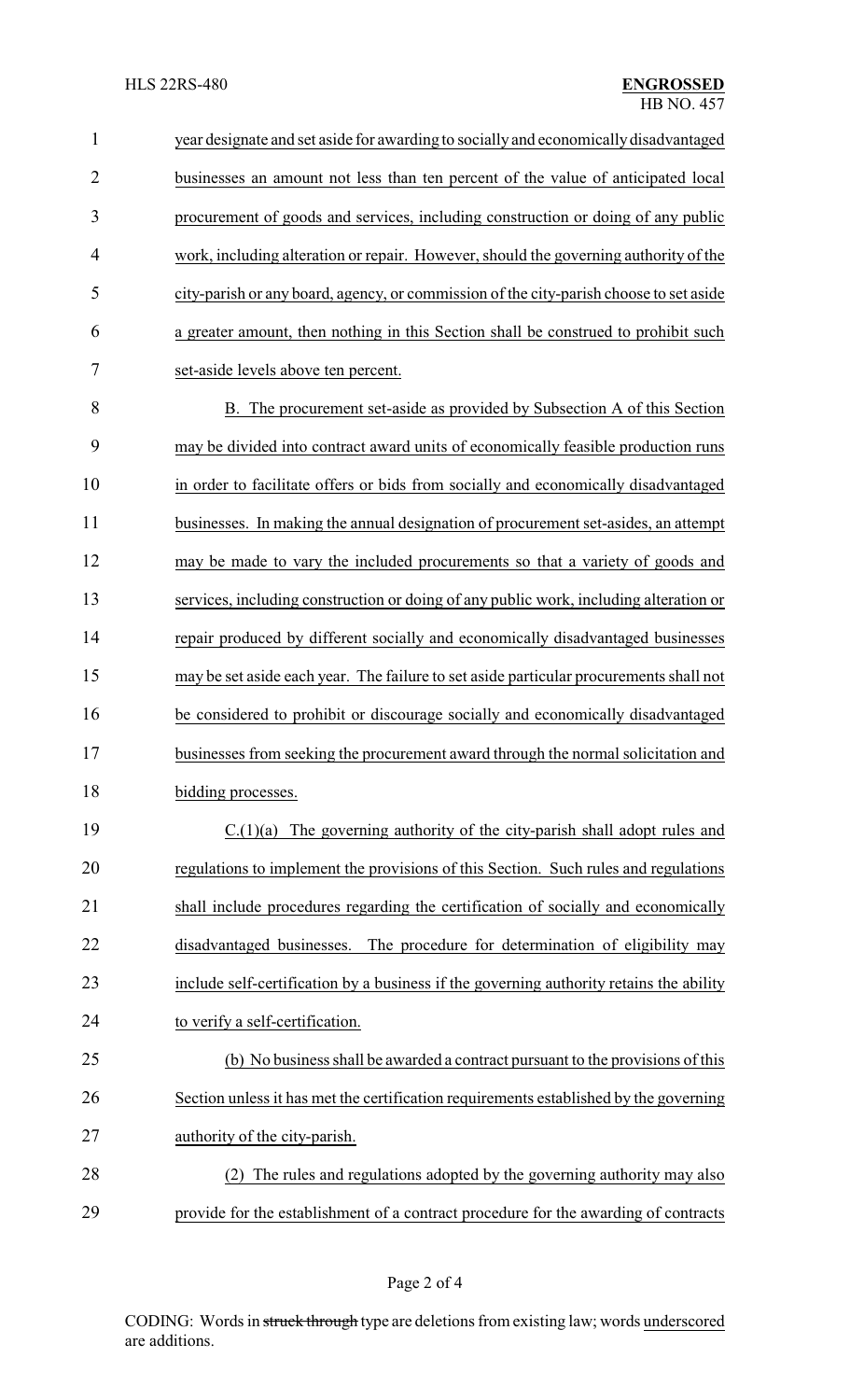year designate and set aside for awarding to socially and economicallydisadvantaged businesses an amount not less than ten percent of the value of anticipated local procurement of goods and services, including construction or doing of any public work, including alteration or repair. However, should the governing authority of the city-parish or any board, agency, or commission of the city-parish choose to set aside a greater amount, then nothing in this Section shall be construed to prohibit such set-aside levels above ten percent. B. The procurement set-aside as provided by Subsection A of this Section may be divided into contract award units of economically feasible production runs in order to facilitate offers or bids from socially and economically disadvantaged businesses. In making the annual designation of procurement set-asides, an attempt may be made to vary the included procurements so that a variety of goods and services, including construction or doing of any public work, including alteration or repair produced by different socially and economically disadvantaged businesses may be set aside each year. The failure to set aside particular procurements shall not be considered to prohibit or discourage socially and economically disadvantaged

 businesses from seeking the procurement award through the normal solicitation and 18 bidding processes.

 C.(1)(a) The governing authority of the city-parish shall adopt rules and regulations to implement the provisions of this Section. Such rules and regulations shall include procedures regarding the certification of socially and economically disadvantaged businesses. The procedure for determination of eligibility may include self-certification by a business if the governing authority retains the ability to verify a self-certification.

 (b) No business shall be awarded a contract pursuant to the provisions of this Section unless it has met the certification requirements established by the governing authority of the city-parish.

 (2) The rules and regulations adopted by the governing authority may also provide for the establishment of a contract procedure for the awarding of contracts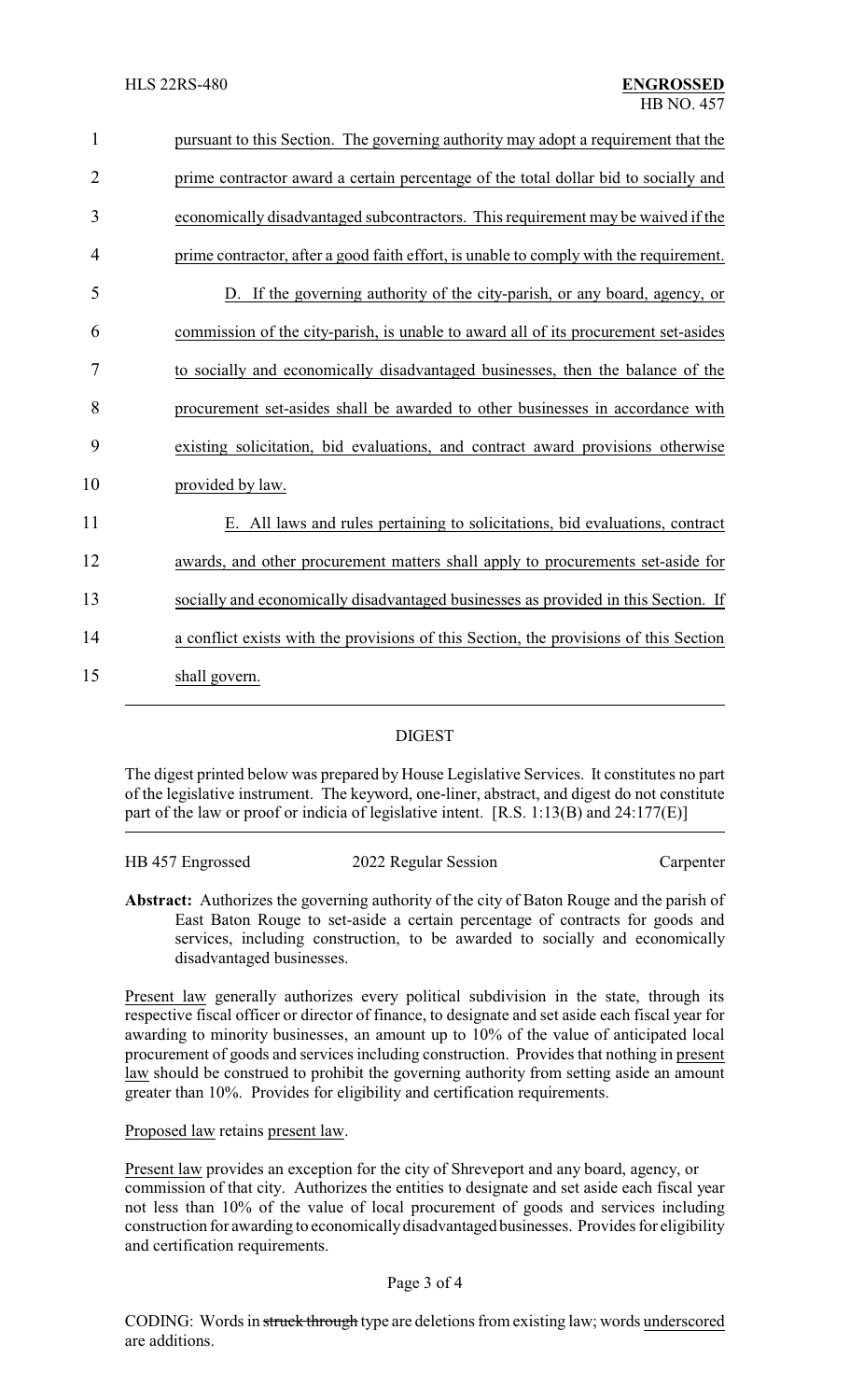| $\mathbf{1}$   | pursuant to this Section. The governing authority may adopt a requirement that the     |
|----------------|----------------------------------------------------------------------------------------|
| $\overline{2}$ | prime contractor award a certain percentage of the total dollar bid to socially and    |
| 3              | economically disadvantaged subcontractors. This requirement may be waived if the       |
| 4              | prime contractor, after a good faith effort, is unable to comply with the requirement. |
| 5              | D. If the governing authority of the city-parish, or any board, agency, or             |
| 6              | commission of the city-parish, is unable to award all of its procurement set-asides    |
| 7              | to socially and economically disadvantaged businesses, then the balance of the         |
| 8              | procurement set-asides shall be awarded to other businesses in accordance with         |
| 9              | existing solicitation, bid evaluations, and contract award provisions otherwise        |
| 10             | provided by law.                                                                       |
| 11             | E. All laws and rules pertaining to solicitations, bid evaluations, contract           |
| 12             | awards, and other procurement matters shall apply to procurements set-aside for        |
| 13             | socially and economically disadvantaged businesses as provided in this Section. If     |
| 14             | a conflict exists with the provisions of this Section, the provisions of this Section  |
| 15             | shall govern.                                                                          |
|                |                                                                                        |

# DIGEST

The digest printed below was prepared by House Legislative Services. It constitutes no part of the legislative instrument. The keyword, one-liner, abstract, and digest do not constitute part of the law or proof or indicia of legislative intent. [R.S. 1:13(B) and 24:177(E)]

| HB 457 Engrossed | 2022 Regular Session | Carpenter |
|------------------|----------------------|-----------|
|                  |                      |           |

**Abstract:** Authorizes the governing authority of the city of Baton Rouge and the parish of East Baton Rouge to set-aside a certain percentage of contracts for goods and services, including construction, to be awarded to socially and economically disadvantaged businesses.

Present law generally authorizes every political subdivision in the state, through its respective fiscal officer or director of finance, to designate and set aside each fiscal year for awarding to minority businesses, an amount up to 10% of the value of anticipated local procurement of goods and services including construction. Provides that nothing in present law should be construed to prohibit the governing authority from setting aside an amount greater than 10%. Provides for eligibility and certification requirements.

Proposed law retains present law.

Present law provides an exception for the city of Shreveport and any board, agency, or commission of that city. Authorizes the entities to designate and set aside each fiscal year not less than 10% of the value of local procurement of goods and services including construction for awarding to economicallydisadvantaged businesses. Provides for eligibility and certification requirements.

### Page 3 of 4

CODING: Words in struck through type are deletions from existing law; words underscored are additions.